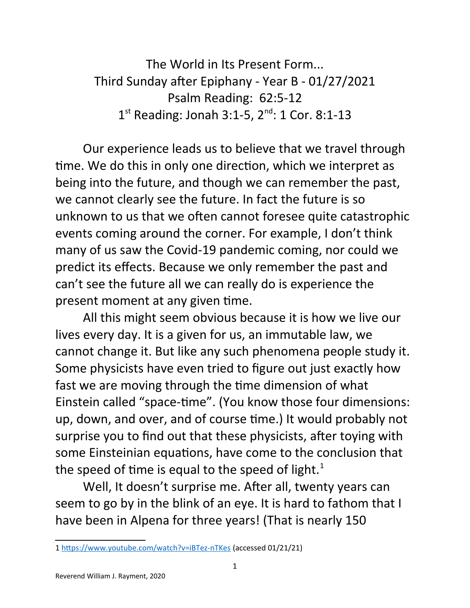The World in Its Present Form... Third Sunday after Epiphany - Year B - 01/27/2021 Psalm Reading: 62:5-12  $1^{st}$  Reading: Jonah 3:1-5,  $2^{nd}$ : 1 Cor. 8:1-13

Our experience leads us to believe that we travel through time. We do this in only one direction, which we interpret as being into the future, and though we can remember the past, we cannot clearly see the future. In fact the future is so unknown to us that we often cannot foresee quite catastrophic events coming around the corner. For example, I don't think many of us saw the Covid-19 pandemic coming, nor could we predict its effects. Because we only remember the past and can't see the future all we can really do is experience the present moment at any given time.

All this might seem obvious because it is how we live our lives every day. It is a given for us, an immutable law, we cannot change it. But like any such phenomena people study it. Some physicists have even tried to figure out just exactly how fast we are moving through the time dimension of what Einstein called "space-time". (You know those four dimensions: up, down, and over, and of course time.) It would probably not surprise you to find out that these physicists, after toying with some Einsteinian equations, have come to the conclusion that the speed of time is equal to the speed of light.<sup>[1](#page-0-0)</sup>

Well, It doesn't surprise me. After all, twenty years can seem to go by in the blink of an eye. It is hard to fathom that I have been in Alpena for three years! (That is nearly 150

<span id="page-0-0"></span><sup>1</sup> <https://www.youtube.com/watch?v=iBTez-nTKes>(accessed 01/21/21)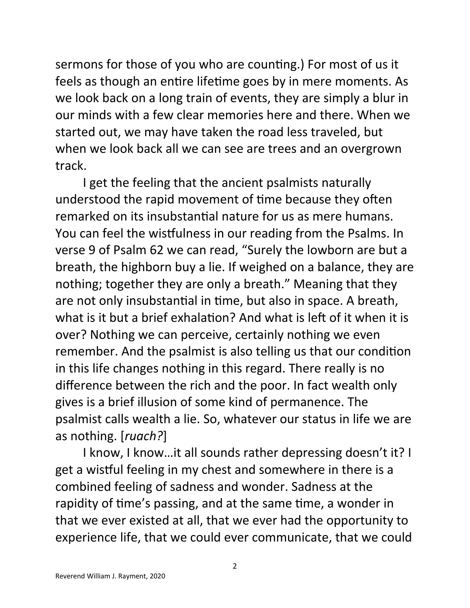sermons for those of you who are counting.) For most of us it feels as though an entire lifetime goes by in mere moments. As we look back on a long train of events, they are simply a blur in our minds with a few clear memories here and there. When we started out, we may have taken the road less traveled, but when we look back all we can see are trees and an overgrown track.

I get the feeling that the ancient psalmists naturally understood the rapid movement of time because they often remarked on its insubstantial nature for us as mere humans. You can feel the wistfulness in our reading from the Psalms. In verse 9 of Psalm 62 we can read, "Surely the lowborn are but a breath, the highborn buy a lie. If weighed on a balance, they are nothing; together they are only a breath." Meaning that they are not only insubstantial in time, but also in space. A breath, what is it but a brief exhalation? And what is left of it when it is over? Nothing we can perceive, certainly nothing we even remember. And the psalmist is also telling us that our condition in this life changes nothing in this regard. There really is no difference between the rich and the poor. In fact wealth only gives is a brief illusion of some kind of permanence. The psalmist calls wealth a lie. So, whatever our status in life we are as nothing. [*ruach?*]

I know, I know…it all sounds rather depressing doesn't it? I get a wistful feeling in my chest and somewhere in there is a combined feeling of sadness and wonder. Sadness at the rapidity of time's passing, and at the same time, a wonder in that we ever existed at all, that we ever had the opportunity to experience life, that we could ever communicate, that we could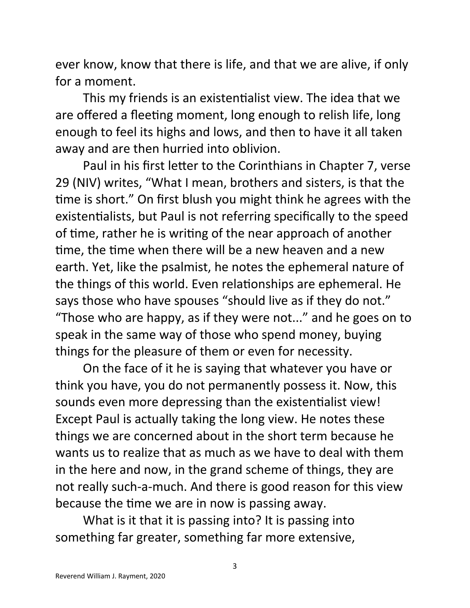ever know, know that there is life, and that we are alive, if only for a moment.

This my friends is an existentialist view. The idea that we are offered a fleeting moment, long enough to relish life, long enough to feel its highs and lows, and then to have it all taken away and are then hurried into oblivion.

Paul in his first letter to the Corinthians in Chapter 7, verse 29 (NIV) writes, "What I mean, brothers and sisters, is that the time is short." On first blush you might think he agrees with the existentialists, but Paul is not referring specifically to the speed of time, rather he is writing of the near approach of another time, the time when there will be a new heaven and a new earth. Yet, like the psalmist, he notes the ephemeral nature of the things of this world. Even relationships are ephemeral. He says those who have spouses "should live as if they do not." "Those who are happy, as if they were not..." and he goes on to speak in the same way of those who spend money, buying things for the pleasure of them or even for necessity.

On the face of it he is saying that whatever you have or think you have, you do not permanently possess it. Now, this sounds even more depressing than the existentialist view! Except Paul is actually taking the long view. He notes these things we are concerned about in the short term because he wants us to realize that as much as we have to deal with them in the here and now, in the grand scheme of things, they are not really such-a-much. And there is good reason for this view because the time we are in now is passing away.

What is it that it is passing into? It is passing into something far greater, something far more extensive,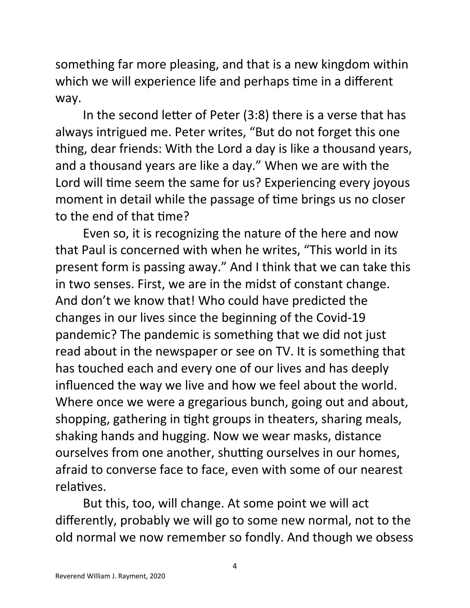something far more pleasing, and that is a new kingdom within which we will experience life and perhaps time in a different way.

In the second letter of Peter (3:8) there is a verse that has always intrigued me. Peter writes, "But do not forget this one thing, dear friends: With the Lord a day is like a thousand years, and a thousand years are like a day." When we are with the Lord will time seem the same for us? Experiencing every joyous moment in detail while the passage of time brings us no closer to the end of that time?

Even so, it is recognizing the nature of the here and now that Paul is concerned with when he writes, "This world in its present form is passing away." And I think that we can take this in two senses. First, we are in the midst of constant change. And don't we know that! Who could have predicted the changes in our lives since the beginning of the Covid-19 pandemic? The pandemic is something that we did not just read about in the newspaper or see on TV. It is something that has touched each and every one of our lives and has deeply influenced the way we live and how we feel about the world. Where once we were a gregarious bunch, going out and about, shopping, gathering in tight groups in theaters, sharing meals, shaking hands and hugging. Now we wear masks, distance ourselves from one another, shutting ourselves in our homes, afraid to converse face to face, even with some of our nearest relatives.

But this, too, will change. At some point we will act differently, probably we will go to some new normal, not to the old normal we now remember so fondly. And though we obsess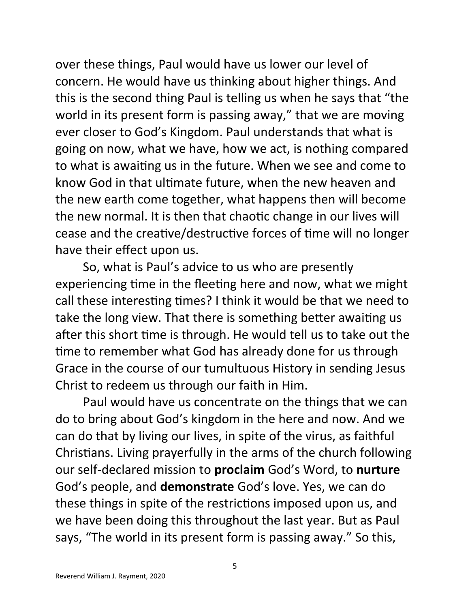over these things, Paul would have us lower our level of concern. He would have us thinking about higher things. And this is the second thing Paul is telling us when he says that "the world in its present form is passing away," that we are moving ever closer to God's Kingdom. Paul understands that what is going on now, what we have, how we act, is nothing compared to what is awaiting us in the future. When we see and come to know God in that ultimate future, when the new heaven and the new earth come together, what happens then will become the new normal. It is then that chaotic change in our lives will cease and the creative/destructive forces of time will no longer have their effect upon us.

So, what is Paul's advice to us who are presently experiencing time in the fleeting here and now, what we might call these interesting times? I think it would be that we need to take the long view. That there is something better awaiting us after this short time is through. He would tell us to take out the time to remember what God has already done for us through Grace in the course of our tumultuous History in sending Jesus Christ to redeem us through our faith in Him.

Paul would have us concentrate on the things that we can do to bring about God's kingdom in the here and now. And we can do that by living our lives, in spite of the virus, as faithful Christians. Living prayerfully in the arms of the church following our self-declared mission to **proclaim** God's Word, to **nurture** God's people, and **demonstrate** God's love. Yes, we can do these things in spite of the restrictions imposed upon us, and we have been doing this throughout the last year. But as Paul says, "The world in its present form is passing away." So this,